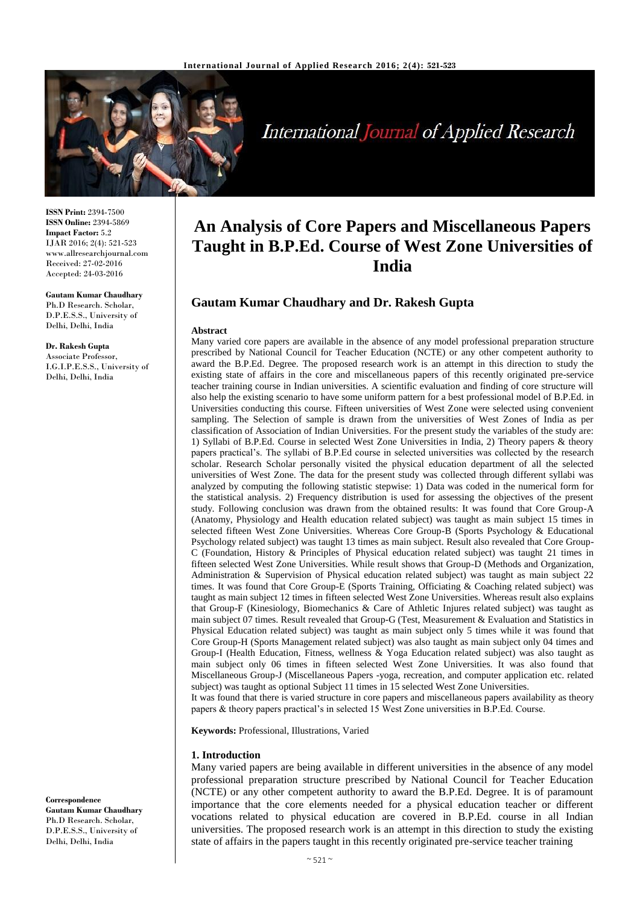

**International Journal of Applied Research** 

**ISSN Print:** 2394-7500 **ISSN Online:** 2394-5869 **Impact Factor:** 5.2 IJAR 2016; 2(4): 521-523 www.allresearchjournal.com Received: 27-02-2016 Accepted: 24-03-2016

#### **Gautam Kumar Chaudhary**

Ph.D Research. Scholar, D.P.E.S.S., University of Delhi, Delhi, India

#### **Dr. Rakesh Gupta**

Associate Professor, I.G.I.P.E.S.S., University of Delhi, Delhi, India

**Correspondence Gautam Kumar Chaudhary** Ph.D Research. Scholar, D.P.E.S.S., University of Delhi, Delhi, India

# **An Analysis of Core Papers and Miscellaneous Papers Taught in B.P.Ed. Course of West Zone Universities of India**

# **Gautam Kumar Chaudhary and Dr. Rakesh Gupta**

#### **Abstract**

Many varied core papers are available in the absence of any model professional preparation structure prescribed by National Council for Teacher Education (NCTE) or any other competent authority to award the B.P.Ed. Degree. The proposed research work is an attempt in this direction to study the existing state of affairs in the core and miscellaneous papers of this recently originated pre-service teacher training course in Indian universities. A scientific evaluation and finding of core structure will also help the existing scenario to have some uniform pattern for a best professional model of B.P.Ed. in Universities conducting this course. Fifteen universities of West Zone were selected using convenient sampling. The Selection of sample is drawn from the universities of West Zones of India as per classification of Association of Indian Universities. For the present study the variables of the study are: 1) Syllabi of B.P.Ed. Course in selected West Zone Universities in India, 2) Theory papers & theory papers practical's. The syllabi of B.P.Ed course in selected universities was collected by the research scholar. Research Scholar personally visited the physical education department of all the selected universities of West Zone. The data for the present study was collected through different syllabi was analyzed by computing the following statistic stepwise: 1) Data was coded in the numerical form for the statistical analysis. 2) Frequency distribution is used for assessing the objectives of the present study. Following conclusion was drawn from the obtained results: It was found that Core Group-A (Anatomy, Physiology and Health education related subject) was taught as main subject 15 times in selected fifteen West Zone Universities. Whereas Core Group-B (Sports Psychology & Educational Psychology related subject) was taught 13 times as main subject. Result also revealed that Core Group-C (Foundation, History & Principles of Physical education related subject) was taught 21 times in fifteen selected West Zone Universities. While result shows that Group-D (Methods and Organization, Administration & Supervision of Physical education related subject) was taught as main subject 22 times. It was found that Core Group-E (Sports Training, Officiating & Coaching related subject) was taught as main subject 12 times in fifteen selected West Zone Universities. Whereas result also explains that Group-F (Kinesiology, Biomechanics & Care of Athletic Injures related subject) was taught as main subject 07 times. Result revealed that Group-G (Test, Measurement & Evaluation and Statistics in Physical Education related subject) was taught as main subject only 5 times while it was found that Core Group-H (Sports Management related subject) was also taught as main subject only 04 times and Group-I (Health Education, Fitness, wellness & Yoga Education related subject) was also taught as main subject only 06 times in fifteen selected West Zone Universities. It was also found that Miscellaneous Group-J (Miscellaneous Papers -yoga, recreation, and computer application etc. related subject) was taught as optional Subject 11 times in 15 selected West Zone Universities. It was found that there is varied structure in core papers and miscellaneous papers availability as theory

papers & theory papers practical's in selected 15 West Zone universities in B.P.Ed. Course.

**Keywords:** Professional, Illustrations, Varied

#### **1. Introduction**

Many varied papers are being available in different universities in the absence of any model professional preparation structure prescribed by National Council for Teacher Education (NCTE) or any other competent authority to award the B.P.Ed. Degree. It is of paramount importance that the core elements needed for a physical education teacher or different vocations related to physical education are covered in B.P.Ed. course in all Indian universities. The proposed research work is an attempt in this direction to study the existing state of affairs in the papers taught in this recently originated pre-service teacher training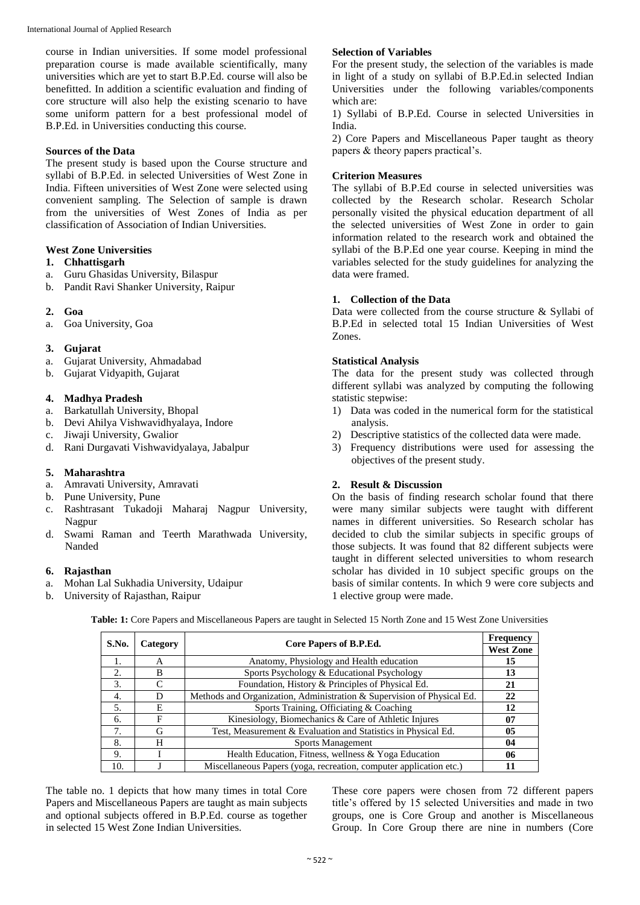course in Indian universities. If some model professional preparation course is made available scientifically, many universities which are yet to start B.P.Ed. course will also be benefitted. In addition a scientific evaluation and finding of core structure will also help the existing scenario to have some uniform pattern for a best professional model of B.P.Ed. in Universities conducting this course.

# **Sources of the Data**

The present study is based upon the Course structure and syllabi of B.P.Ed. in selected Universities of West Zone in India. Fifteen universities of West Zone were selected using convenient sampling. The Selection of sample is drawn from the universities of West Zones of India as per classification of Association of Indian Universities.

## **West Zone Universities**

### **1. Chhattisgarh**

- a. Guru Ghasidas University, Bilaspur
- b. Pandit Ravi Shanker University, Raipur

## **2. Goa**

a. Goa University, Goa

# **3. Gujarat**

- a. Gujarat University, Ahmadabad
- b. Gujarat Vidyapith, Gujarat

## **4. Madhya Pradesh**

- a. Barkatullah University, Bhopal
- b. Devi Ahilya Vishwavidhyalaya, Indore
- c. Jiwaji University, Gwalior
- d. Rani Durgavati Vishwavidyalaya, Jabalpur

# **5. Maharashtra**

- a. Amravati University, Amravati
- b. Pune University, Pune
- c. Rashtrasant Tukadoji Maharaj Nagpur University, Nagpur
- d. Swami Raman and Teerth Marathwada University, Nanded

# **6. Rajasthan**

- a. Mohan Lal Sukhadia University, Udaipur
- b. University of Rajasthan, Raipur

# **Selection of Variables**

For the present study, the selection of the variables is made in light of a study on syllabi of B.P.Ed.in selected Indian Universities under the following variables/components which are:

1) Syllabi of B.P.Ed. Course in selected Universities in India.

2) Core Papers and Miscellaneous Paper taught as theory papers & theory papers practical's.

# **Criterion Measures**

The syllabi of B.P.Ed course in selected universities was collected by the Research scholar. Research Scholar personally visited the physical education department of all the selected universities of West Zone in order to gain information related to the research work and obtained the syllabi of the B.P.Ed one year course. Keeping in mind the variables selected for the study guidelines for analyzing the data were framed.

# **1. Collection of the Data**

Data were collected from the course structure & Syllabi of B.P.Ed in selected total 15 Indian Universities of West Zones.

# **Statistical Analysis**

The data for the present study was collected through different syllabi was analyzed by computing the following statistic stepwise:

- 1) Data was coded in the numerical form for the statistical analysis.
- 2) Descriptive statistics of the collected data were made.
- 3) Frequency distributions were used for assessing the objectives of the present study.

# **2. Result & Discussion**

On the basis of finding research scholar found that there were many similar subjects were taught with different names in different universities. So Research scholar has decided to club the similar subjects in specific groups of those subjects. It was found that 82 different subjects were taught in different selected universities to whom research scholar has divided in 10 subject specific groups on the basis of similar contents. In which 9 were core subjects and 1 elective group were made.

**S.No. Category Core Papers of B.P.Ed. Frequency West Zone** 1. A Anatomy, Physiology and Health education **15** 2. B Sports Psychology & Educational Psychology **13** 3. C Foundation, History & Principles of Physical Ed. **21** 4. D Methods and Organization, Administration & Supervision of Physical Ed. **22** 5. E Sports Training, Officiating & Coaching **12** 6. F Kinesiology, Biomechanics & Care of Athletic Injures **07** 7. G Test, Measurement & Evaluation and Statistics in Physical Ed. **05** 8. H Sports Management **04** 9. I Health Education, Fitness, wellness & Yoga Education **06** 10. J Miscellaneous Papers (yoga, recreation, computer application etc.) **11**

**Table: 1:** Core Papers and Miscellaneous Papers are taught in Selected 15 North Zone and 15 West Zone Universities

The table no. 1 depicts that how many times in total Core Papers and Miscellaneous Papers are taught as main subjects and optional subjects offered in B.P.Ed. course as together in selected 15 West Zone Indian Universities.

These core papers were chosen from 72 different papers title's offered by 15 selected Universities and made in two groups, one is Core Group and another is Miscellaneous Group. In Core Group there are nine in numbers (Core